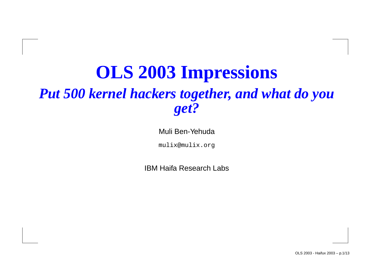#### **OLS 2003 Impressions** *Put 500 kernel hackers together, and what do you get?*

Muli Ben-Yehuda

mulix@mulix.org

IBM Haifa Research Labs

OLS 2003 - Haifux 2003 – p.1/13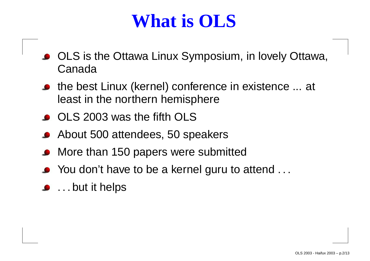#### **What is OLS**

- OLS is the Ottawa Linux Symposium, in lovely Ottawa, Canada
- the best Linux (kernel) conference in existence ... at least in the northern hemisphere
- OLS 2003 was the fifth OLS
- About 500 attendees, 50 speakers
- More than 150 papers were submitted
- You don't have to be <sup>a</sup> kernel guru to attend . . .
- . . . but it helps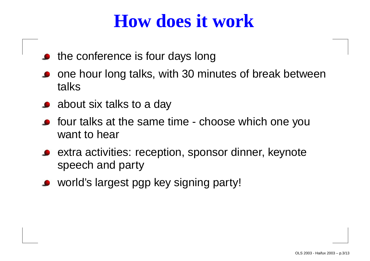#### **How does it work**

- the conference is four days long
- one hour long talks, with 30 minutes of break between talks
- about six talks to <sup>a</sup> day
- four talks at the same time choose which one you want to hear
- extra activities: reception, sponsor dinner, keynote speech and party
- world's largest pgp key signing party!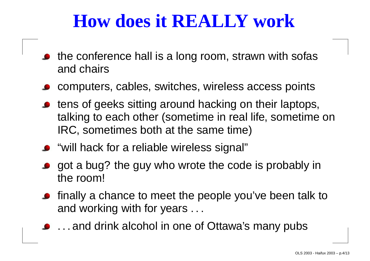#### **How does it REALLY work**

- the conference hall is <sup>a</sup> long room, strawn with sofas and chairs
- computers, cables, switches, wireless access points
- tens of geeks sitting around hacking on their laptops, talking to each other (sometime in real life, sometime on IRC, sometimes both at the same time)
- "will hack for a reliable wireless signal"
- got <sup>a</sup> bug? the guy who wrote the code is probably in the room!
- finally <sup>a</sup> chance to meet the people you've been talk to and working with for years . . .
- . . . and drink alcohol in one of Ottawa's many pubs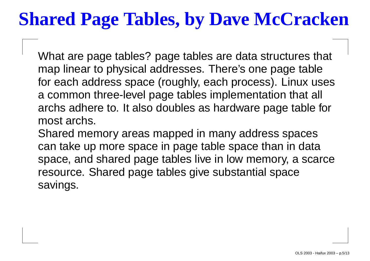### **Shared Page Tables, by Dave McCracken**

What are page tables? page tables are data structures that map linear to physical addresses. There's one page table for each address space (roughly, each process). Linux uses a common three-level page tables implementation that all archs adhere to. It also doubles as hardware page table for most archs.

Shared memory areas mapped in many address spaces can take up more space in page table space than in data space, and shared page tables live in low memory, <sup>a</sup> scarce resource. Shared page tables give substantial space savings.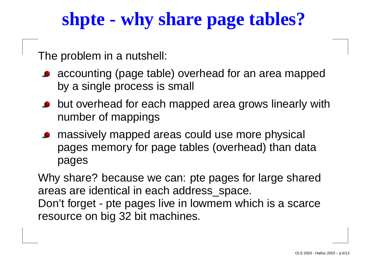### **shpte - why share page tables?**

The problem in <sup>a</sup> nutshell:

- **•** accounting (page table) overhead for an area mapped by <sup>a</sup> single process is small
- but overhead for each mapped area grows linearly with number of mappings
- massively mapped areas could use more physical pages memory for page tables (overhead) than data pages

Why share? because we can: pte pages for large shared areas are identical in each address\_space. Don't forget - pte pages live in lowmem which is <sup>a</sup> scarce

resource on big 32 bit machines.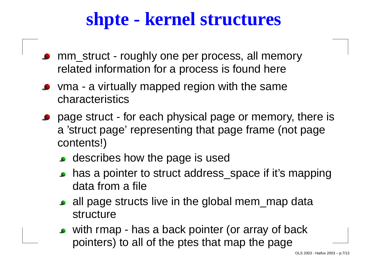#### **shpte - kernel structures**

- mm\_struct roughly one per process, all memory related information for <sup>a</sup> process is found here
- vma <sup>a</sup> virtually mapped region with the same characteristics
- page struct for each physical page or memory, there is a 'struct page' representing that page frame (not page contents!)
	- describes how the page is used
	- has a pointer to struct address\_space if it's mapping data from a file
	- all page structs live in the global mem\_map data structure
	- with rmap has <sup>a</sup> back pointer (or array of back pointers) to all of the ptes that map the page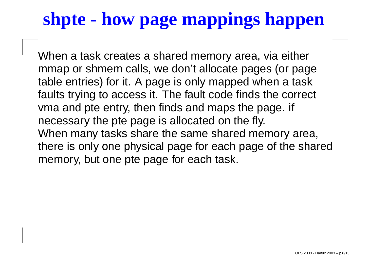## **shpte - how page mappings happen**

When <sup>a</sup> task creates <sup>a</sup> shared memory area, via either mmap or shmem calls, we don't allocate pages (or page table entries) for it. A page is only mapped when <sup>a</sup> task faults trying to access it. The fault code finds the correct vma and pte entry, then finds and maps the page. if necessary the pte page is allocated on the fly. When many tasks share the same shared memory area, there is only one physical page for each page of the shared memory, but one pte page for each task.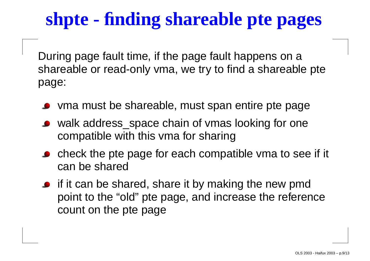## **shpte - finding shareable pte pages**

During page fault time, if the page fault happens on <sup>a</sup> shareable or read-only vma, we try to find <sup>a</sup> shareable pte page:

- vma must be shareable, must span entire pte page
- walk address\_space chain of vmas looking for one compatible with this vma for sharing
- check the pte page for each compatible vma to see if it can be shared
- if it can be shared, share it by making the new pmd point to the "old" pte page, and increase the reference count on the pte page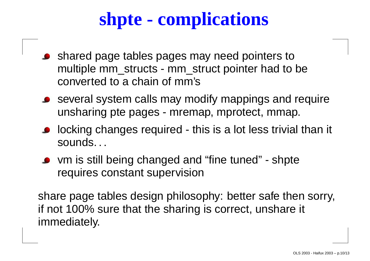## **shpte - complications**

- shared page tables pages may need pointers to multiple mm\_structs - mm\_struct pointer had to be converted to a chain of mm's
- several system calls may modify mappings and require unsharing pte pages - mremap, mprotect, mmap.
- **•** locking changes required this is a lot less trivial than it sounds. . .
- vm is still being changed and "fine tuned" shpte requires constant supervision

share page tables design philosophy: better safe then sorry, if not 100% sure that the sharing is correct, unshare it immediately.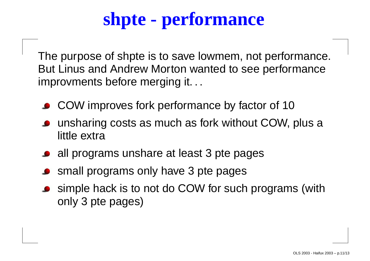# **shpte - performance**

The purpose of shpte is to save lowmem, not performance. But Linus and Andrew Morton wanted to see performance improvments before merging it. . .

- COW improves fork performance by factor of 10
- unsharing costs as much as fork without COW, plus <sup>a</sup> little extra
- all programs unshare at least 3 pte pages
- small programs only have 3 pte pages
- simple hack is to not do COW for such programs (with only 3 pte pages)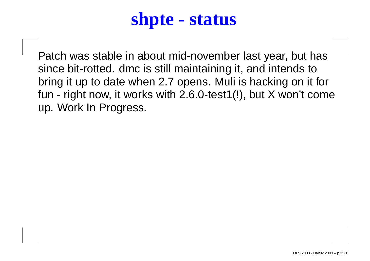#### **shpte - status**

Patch was stable in about mid-november last year, but has since bit-rotted. dmc is still maintaining it, and intends to bring it up to date when 2.7 opens. Muli is hacking on it for fun - right now, it works with 2.6.0-test1(!), but X won't come up. Work In Progress.